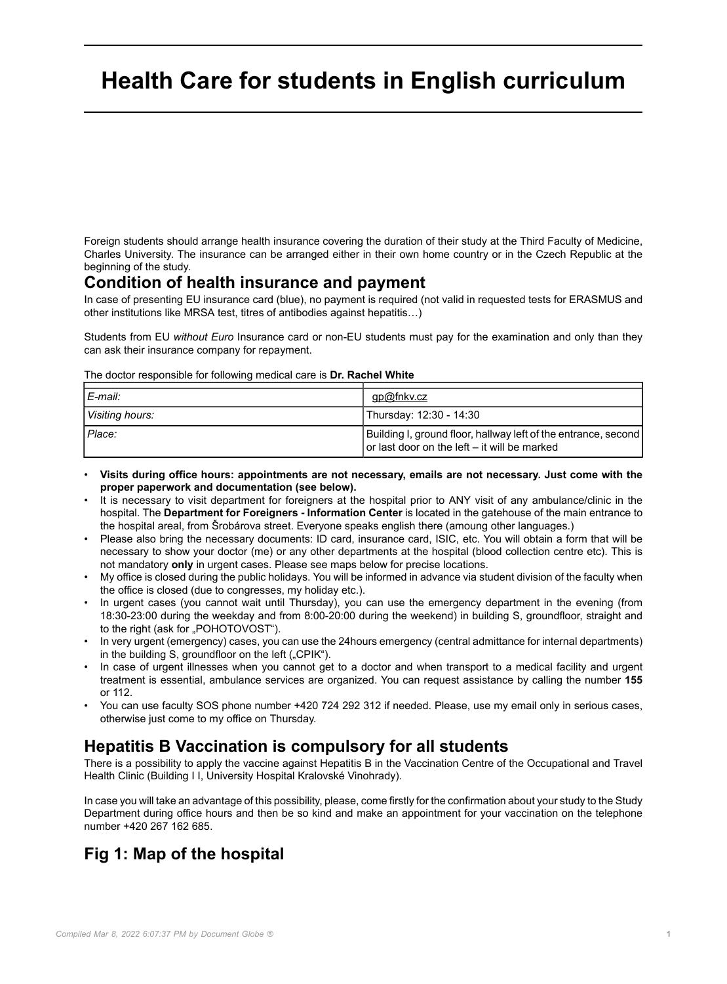# **Health Care for students in English curriculum**

Foreign students should arrange health insurance covering the duration of their study at the Third Faculty of Medicine, Charles University. The insurance can be arranged either in their own home country or in the Czech Republic at the beginning of the study.

#### **Condition of health insurance and payment**

In case of presenting EU insurance card (blue), no payment is required (not valid in requested tests for ERASMUS and other institutions like MRSA test, titres of antibodies against hepatitis…)

Students from EU *without Euro* Insurance card or non-EU students must pay for the examination and only than they can ask their insurance company for repayment.

The doctor responsible for following medical care is **Dr. Rachel White**

| E-mail:         | gp@fnkv.cz                                                                                                         |
|-----------------|--------------------------------------------------------------------------------------------------------------------|
| Visiting hours: | Thursday: 12:30 - 14:30                                                                                            |
| Place:          | Building I, ground floor, hallway left of the entrance, second  <br>I or last door on the left – it will be marked |

- **Visits during office hours: appointments are not necessary, emails are not necessary. Just come with the proper paperwork and documentation (see below).**
- It is necessary to visit department for foreigners at the hospital prior to ANY visit of any ambulance/clinic in the hospital. The **Department for Foreigners - Information Center** is located in the gatehouse of the main entrance to the hospital areal, from Šrobárova street. Everyone speaks english there (amoung other languages.)
- Please also bring the necessary documents: ID card, insurance card, ISIC, etc. You will obtain a form that will be necessary to show your doctor (me) or any other departments at the hospital (blood collection centre etc). This is not mandatory **only** in urgent cases. Please see maps below for precise locations.
- My office is closed during the public holidays. You will be informed in advance via student division of the faculty when the office is closed (due to congresses, my holiday etc.).
- In urgent cases (you cannot wait until Thursday), you can use the emergency department in the evening (from 18:30-23:00 during the weekday and from 8:00-20:00 during the weekend) in building S, groundfloor, straight and to the right (ask for "POHOTOVOST").
- In very urgent (emergency) cases, you can use the 24hours emergency (central admittance for internal departments) in the building S, groundfloor on the left ("CPIK").
- In case of urgent illnesses when you cannot get to a doctor and when transport to a medical facility and urgent treatment is essential, ambulance services are organized. You can request assistance by calling the number **155** or 112.
- You can use faculty SOS phone number +420 724 292 312 if needed. Please, use my email only in serious cases, otherwise just come to my office on Thursday.

### **Hepatitis B Vaccination is compulsory for all students**

There is a possibility to apply the vaccine against Hepatitis B in the Vaccination Centre of the Occupational and Travel Health Clinic (Building I I, University Hospital Kralovské Vinohrady).

In case you will take an advantage of this possibility, please, come firstly for the confirmation about your study to the Study Department during office hours and then be so kind and make an appointment for your vaccination on the telephone number +420 267 162 685.

# **Fig 1: Map of the hospital**